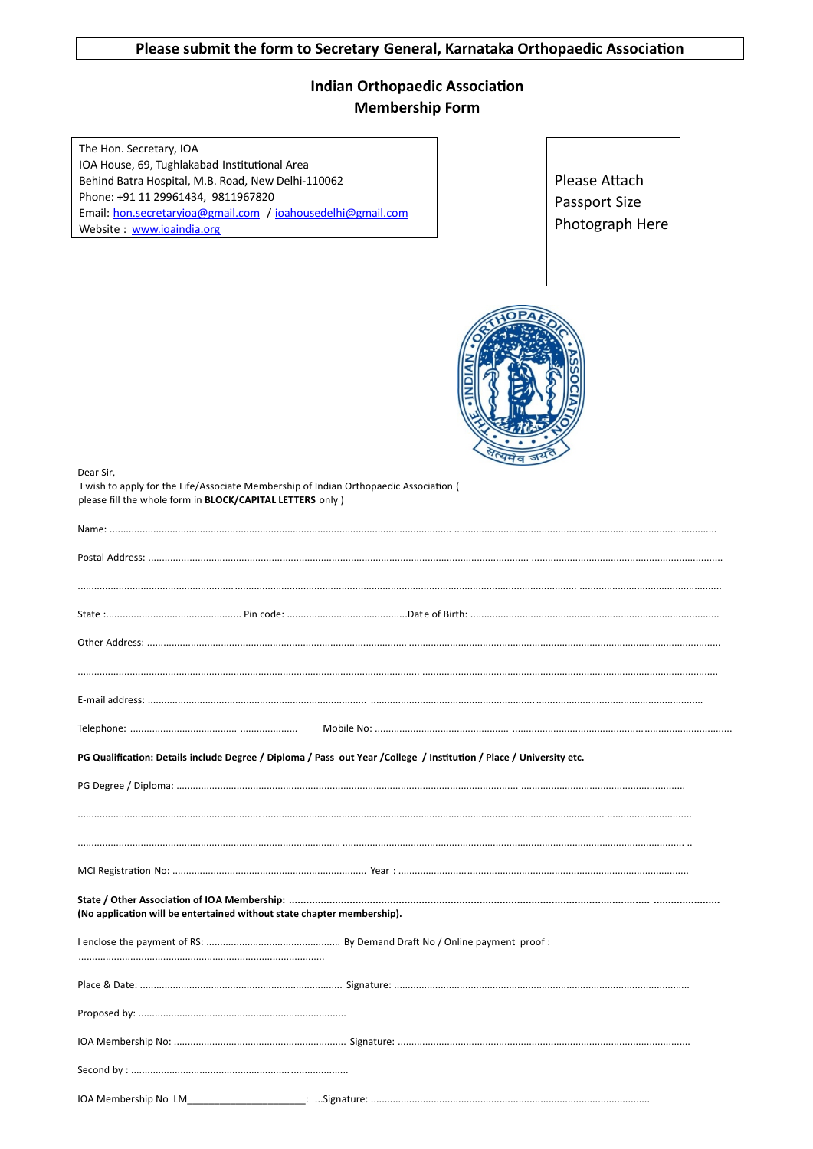## **Indian Orthopaedic Association Membership Form**

The Hon. Secretary, IOA IOA House, 69, Tughlakabad Institutional Area Behind Batra Hospital, M.B. Road, New Delhi-110062 Phone: +91 11 29961434, 9811967820 Email: hon.secretaryioa@gmail.com / ioahousedelhi@gmail.com Website: www.ioaindia.org

Please Attach Passport Size Photograph Here



Dear Sir,

I wish to apply for the Life/Associate Membership of Indian Orthopaedic Association ( please fill the whole form in BLOCK/CAPITAL LETTERS only )

|                                                                        | PG Qualification: Details include Degree / Diploma / Pass out Year / College / Institution / Place / University etc. |  |
|------------------------------------------------------------------------|----------------------------------------------------------------------------------------------------------------------|--|
|                                                                        |                                                                                                                      |  |
|                                                                        |                                                                                                                      |  |
|                                                                        |                                                                                                                      |  |
|                                                                        |                                                                                                                      |  |
| (No application will be entertained without state chapter membership). |                                                                                                                      |  |
|                                                                        |                                                                                                                      |  |
|                                                                        |                                                                                                                      |  |
|                                                                        |                                                                                                                      |  |
|                                                                        |                                                                                                                      |  |
|                                                                        |                                                                                                                      |  |
| IOA Membershin No. LM                                                  | : Signature: $\ldots$                                                                                                |  |